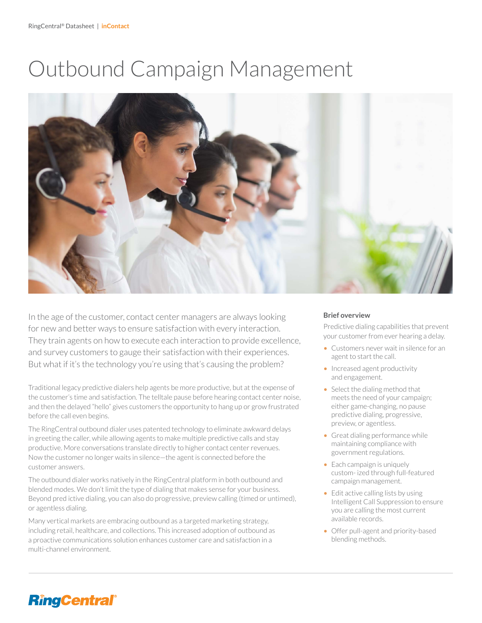# Outbound Campaign Management



In the age of the customer, contact center managers are always looking for new and better ways to ensure satisfaction with every interaction. They train agents on how to execute each interaction to provide excellence, and survey customers to gauge their satisfaction with their experiences. But what if it's the technology you're using that's causing the problem?

Traditional legacy predictive dialers help agents be more productive, but at the expense of the customer's time and satisfaction. The telltale pause before hearing contact center noise, and then the delayed "hello" gives customers the opportunity to hang up or grow frustrated before the call even begins.

The RingCentral outbound dialer uses patented technology to eliminate awkward delays in greeting the caller, while allowing agents to make multiple predictive calls and stay productive. More conversations translate directly to higher contact center revenues. Now the customer no longer waits in silence—the agent is connected before the customer answers.

The outbound dialer works natively in the RingCentral platform in both outbound and blended modes. We don't limit the type of dialing that makes sense for your business. Beyond pred ictive dialing, you can also do progressive, preview calling (timed or untimed), or agentless dialing.

Many vertical markets are embracing outbound as a targeted marketing strategy, including retail, healthcare, and collections. This increased adoption of outbound as a proactive communications solution enhances customer care and satisfaction in a multi-channel environment.

#### **Brief overview**

Predictive dialing capabilities that prevent your customer from ever hearing a delay.

- Customers never wait in silence for an agent to start the call.
- Increased agent productivity and engagement.
- Select the dialing method that meets the need of your campaign; either game-changing, no pause predictive dialing, progressive, preview, or agentless.
- Great dialing performance while maintaining compliance with government regulations.
- Each campaign is uniquely custom- ized through full-featured campaign management.
- Edit active calling lists by using Intelligent Call Suppression to ensure you are calling the most current available records.
- Offer pull-agent and priority-based blending methods.

### **RingCentral®**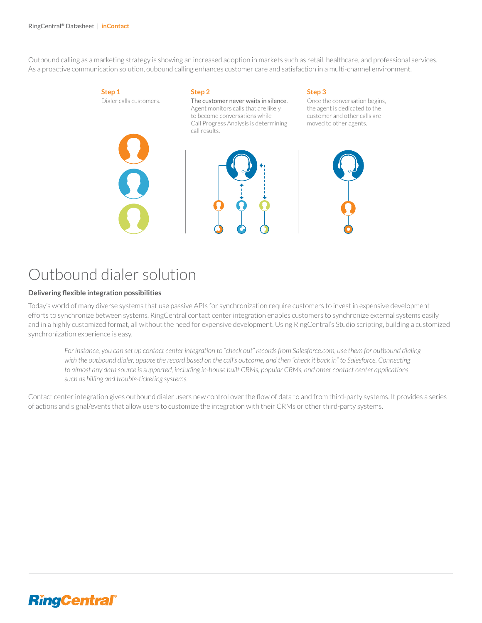Outbound calling as a marketing strategy is showing an increased adoption in markets such as retail, healthcare, and professional services. As a proactive communication solution, oubound calling enhances customer care and satisfaction in a multi-channel environment.



### Outbound dialer solution

#### **Delivering flexible integration possibilities**

Today's world of many diverse systems that use passive APIs for synchronization require customers to invest in expensive development efforts to synchronize between systems. RingCentral contact center integration enables customers to synchronize external systems easily and in a highly customized format, all without the need for expensive development. Using RingCentral's Studio scripting, building a customized synchronization experience is easy.

*For instance, you can set up contact center integration to "check out" records from Salesforce.com, use them for outbound dialing with the outbound dialer, update the record based on the call's outcome, and then "check it back in" to Salesforce. Connecting to almost any data source is supported, including in-house built CRMs, popular CRMs, and other contact center applications, such as billing and trouble-ticketing systems.*

Contact center integration gives outbound dialer users new control over the flow of data to and from third-party systems. It provides a series of actions and signal/events that allow users to customize the integration with their CRMs or other third-party systems.